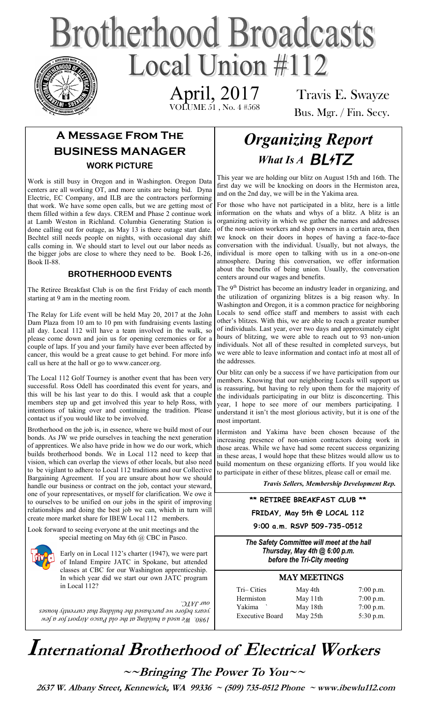# **Brotherhood Broadcasts** Local Union  $\#112$

 VOLUME 51 , No. 4 #568 April, 2017

Travis E. Swayze Bus. Mgr. / Fin. Secy.

## **A Message From The BUSINESS MANAGER WORK PICTURE**

Work is still busy in Oregon and in Washington. Oregon Data centers are all working OT, and more units are being bid. Dyna Electric, EC Company, and ILB are the contractors performing that work. We have some open calls, but we are getting most of them filled within a few days. CREM and Phase 2 continue work at Lamb Weston in Richland. Columbia Generating Station is done calling out for outage, as May 13 is there outage start date. Bechtel still needs people on nights, with occasional day shift calls coming in. We should start to level out our labor needs as the bigger jobs are close to where they need to be. Book I-26, Book II-88.

#### **BROTHERHOOD EVENTS**

The Retiree Breakfast Club is on the first Friday of each month starting at 9 am in the meeting room.

The Relay for Life event will be held May 20, 2017 at the John Dam Plaza from 10 am to 10 pm with fundraising events lasting all day. Local 112 will have a team involved in the walk, so please come down and join us for opening ceremonies or for a couple of laps. If you and your family have ever been affected by cancer, this would be a great cause to get behind. For more info call us here at the hall or go to www.cancer.org.

The Local 112 Golf Tourney is another event that has been very successful. Ross Odell has coordinated this event for years, and this will be his last year to do this. I would ask that a couple members step up and get involved this year to help Ross, with intentions of taking over and continuing the tradition. Please contact us if you would like to be involved.

Brotherhood on the job is, in essence, where we build most of our bonds. As JW we pride ourselves in teaching the next generation of apprentices. We also have pride in how we do our work, which builds brotherhood bonds. We in Local 112 need to keep that vision, which can overlap the views of other locals, but also need to be vigilant to adhere to Local 112 traditions and our Collective Bargaining Agreement. If you are unsure about how we should handle our business or contract on the job, contact your steward, one of your representatives, or myself for clarification. We owe it to ourselves to be unified on our jobs in the spirit of improving relationships and doing the best job we can, which in turn will create more market share for IBEW Local 112 members.

Look forward to seeing everyone at the unit meetings and the special meeting on May 6th @ CBC in Pasco.

> Early on in Local 112's charter (1947), we were part of Inland Empire JATC in Spokane, but attended classes at CBC for our Washington apprenticeship. In which year did we start our own JATC program in Local 112?

*1980. We used a building at the old Pasco Airport for a few years before we purchased the building that currently houses our JATC.* 

# *Organizing Report*  What Is A **BL4TZ**

This year we are holding our blitz on August 15th and 16th. The first day we will be knocking on doors in the Hermiston area, and on the 2nd day, we will be in the Yakima area.

For those who have not participated in a blitz, here is a little information on the whats and whys of a blitz. A blitz is an organizing activity in which we gather the names and addresses of the non-union workers and shop owners in a certain area, then we knock on their doors in hopes of having a face-to-face conversation with the individual. Usually, but not always, the individual is more open to talking with us in a one-on-one atmosphere. During this conversation, we offer information about the benefits of being union. Usually, the conversation centers around our wages and benefits.

The  $9<sup>th</sup>$  District has become an industry leader in organizing, and the utilization of organizing blitzes is a big reason why. In Washington and Oregon, it is a common practice for neighboring Locals to send office staff and members to assist with each other's blitzes. With this, we are able to reach a greater number of individuals. Last year, over two days and approximately eight hours of blitzing, we were able to reach out to 93 non-union individuals. Not all of these resulted in completed surveys, but we were able to leave information and contact info at most all of the addresses

Our blitz can only be a success if we have participation from our members. Knowing that our neighboring Locals will support us is reassuring, but having to rely upon them for the majority of the individuals participating in our blitz is disconcerting. This year, I hope to see more of our members participating. I understand it isn't the most glorious activity, but it is one of the most important.

Hermiston and Yakima have been chosen because of the increasing presence of non-union contractors doing work in those areas. While we have had some recent success organizing in these areas, I would hope that these blitzes would allow us to build momentum on these organizing efforts. If you would like to participate in either of these blitzes, please call or email me.

 *Travis Sellers, Membership Development Rep.* 

**\*\* RETIREE BREAKFAST CLUB \*\***

**FRIDAY, May 5th @ LOCAL 112**

**9:00 a.m. RSVP 509-735-0512** 

*The Safety Committee will meet at the hall Thursday, May 4th @ 6:00 p.m. before the Tri-City meeting* 

#### MAY MEETINGS

| May 4th  | $7:00$ p.m. |
|----------|-------------|
| May 11th | $7:00$ p.m. |
| May 18th | $7:00$ p.m. |
| May 25th | $5:30$ p.m. |
|          |             |

| 7:00 p.m |
|----------|
| 7:00 p.m |
| 7:00 p.m |
| 5:30 p.m |
|          |

# **International Brotherhood of <sup>E</sup>lectrical Workers**

**~~Bringing The Power To You~~** 

 **2637 W. Albany Street, Kennewick, WA 99336 ~ (509) 735-0512 Phone ~ www.ibewlu112.com**